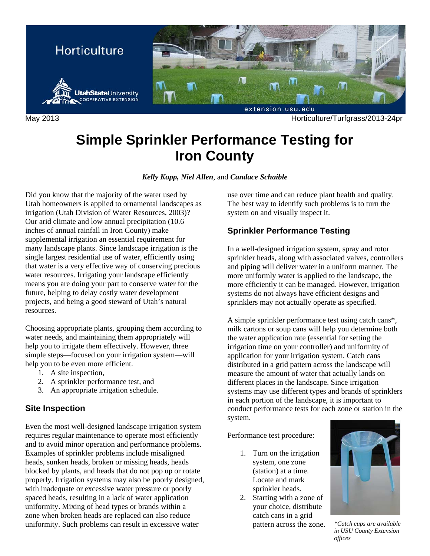

May 2013 Horticulture/Turfgrass/2013-24pr

# **Simple Sprinkler Performance Testing for Iron County**

*Kelly Kopp, Niel Allen*, and *Candace Schaible* 

Did you know that the majority of the water used by Utah homeowners is applied to ornamental landscapes as irrigation (Utah Division of Water Resources, 2003)? Our arid climate and low annual precipitation (10.6 inches of annual rainfall in Iron County) make supplemental irrigation an essential requirement for many landscape plants. Since landscape irrigation is the single largest residential use of water, efficiently using that water is a very effective way of conserving precious water resources. Irrigating your landscape efficiently means you are doing your part to conserve water for the future, helping to delay costly water development projects, and being a good steward of Utah's natural resources.

Choosing appropriate plants, grouping them according to water needs, and maintaining them appropriately will help you to irrigate them effectively. However, three simple steps—focused on your irrigation system—will help you to be even more efficient.

- 1. A site inspection,
- 2. A sprinkler performance test, and
- 3. An appropriate irrigation schedule.

### **Site Inspection**

Even the most well-designed landscape irrigation system requires regular maintenance to operate most efficiently and to avoid minor operation and performance problems. Examples of sprinkler problems include misaligned heads, sunken heads, broken or missing heads, heads blocked by plants, and heads that do not pop up or rotate properly. Irrigation systems may also be poorly designed, with inadequate or excessive water pressure or poorly spaced heads, resulting in a lack of water application uniformity. Mixing of head types or brands within a zone when broken heads are replaced can also reduce uniformity. Such problems can result in excessive water

use over time and can reduce plant health and quality. The best way to identify such problems is to turn the system on and visually inspect it.

## **Sprinkler Performance Testing**

In a well-designed irrigation system, spray and rotor sprinkler heads, along with associated valves, controllers and piping will deliver water in a uniform manner. The more uniformly water is applied to the landscape, the more efficiently it can be managed. However, irrigation systems do not always have efficient designs and sprinklers may not actually operate as specified.

A simple sprinkler performance test using catch cans\*, milk cartons or soup cans will help you determine both the water application rate (essential for setting the irrigation time on your controller) and uniformity of application for your irrigation system. Catch cans distributed in a grid pattern across the landscape will measure the amount of water that actually lands on different places in the landscape. Since irrigation systems may use different types and brands of sprinklers in each portion of the landscape, it is important to conduct performance tests for each zone or station in the system.

Performance test procedure:

- 1. Turn on the irrigation system, one zone (station) at a time. Locate and mark sprinkler heads.
- 2. Starting with a zone of your choice, distribute catch cans in a grid pattern across the zone. *\*Catch cups are available*



*in USU County Extension offices*